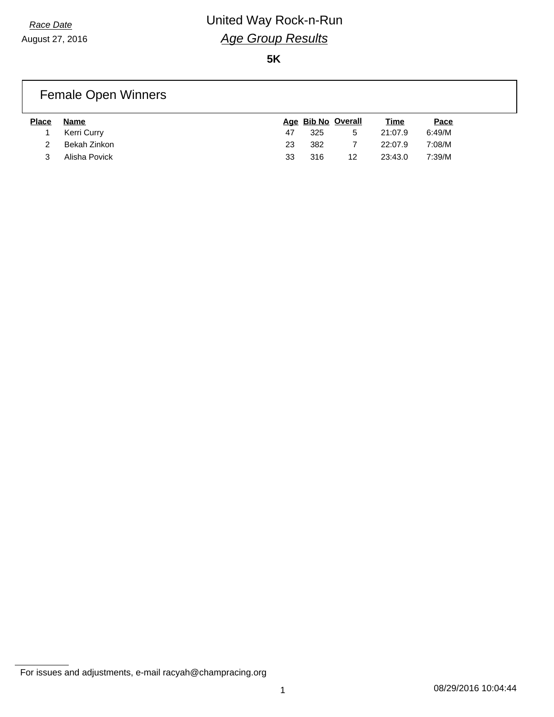**5K**

#### Female Open Winners

| <b>Place</b> | Name          |    |     | Age Bib No Overall | <u>Time</u> | Pace   |
|--------------|---------------|----|-----|--------------------|-------------|--------|
|              | Kerri Curry   | 47 | 325 | 5                  | 21:07.9     | 6:49/M |
|              | Bekah Zinkon  | 23 | 382 |                    | 22:07.9     | 7:08/M |
|              | Alisha Povick | 33 | 316 | 12                 | 23:43.0     | 7:39/M |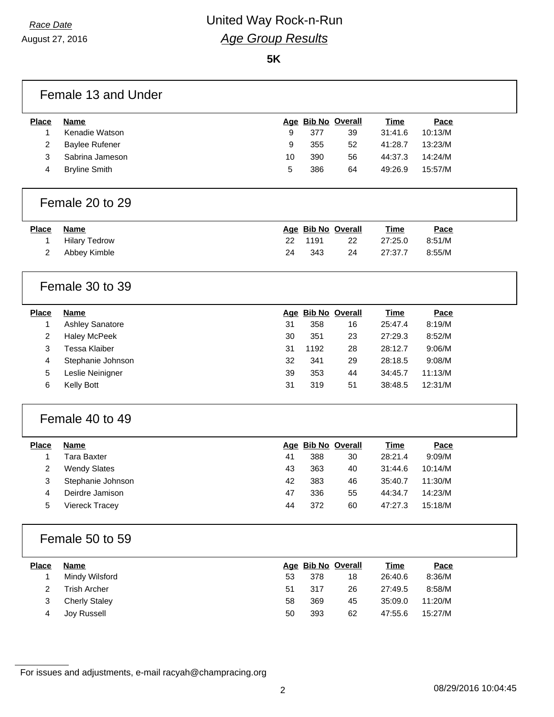August 27, 2016

**5K**

|                | Female 13 and Under    |    |      |                    |             |         |  |
|----------------|------------------------|----|------|--------------------|-------------|---------|--|
| <b>Place</b>   | <b>Name</b>            |    |      | Age Bib No Overall | <b>Time</b> | Pace    |  |
| 1              | Kenadie Watson         | 9  | 377  | 39                 | 31:41.6     | 10:13/M |  |
| 2              | <b>Baylee Rufener</b>  | 9  | 355  | 52                 | 41:28.7     | 13:23/M |  |
| 3              | Sabrina Jameson        | 10 | 390  | 56                 | 44:37.3     | 14:24/M |  |
| 4              | <b>Bryline Smith</b>   | 5  | 386  | 64                 | 49:26.9     | 15:57/M |  |
|                | Female 20 to 29        |    |      |                    |             |         |  |
| <b>Place</b>   | <b>Name</b>            |    |      | Age Bib No Overall | <b>Time</b> | Pace    |  |
| 1              | <b>Hilary Tedrow</b>   | 22 | 1191 | 22                 | 27:25.0     | 8:51/M  |  |
| $\overline{2}$ | Abbey Kimble           | 24 | 343  | 24                 | 27:37.7     | 8:55/M  |  |
|                | Female 30 to 39        |    |      |                    |             |         |  |
| <b>Place</b>   | <b>Name</b>            |    |      | Age Bib No Overall | <b>Time</b> | Pace    |  |
| 1              | <b>Ashley Sanatore</b> | 31 | 358  | 16                 | 25:47.4     | 8:19/M  |  |
| 2              | <b>Haley McPeek</b>    | 30 | 351  | 23                 | 27:29.3     | 8:52/M  |  |
| 3              | <b>Tessa Klaiber</b>   | 31 | 1192 | 28                 | 28:12.7     | 9:06/M  |  |
| 4              | Stephanie Johnson      | 32 | 341  | 29                 | 28:18.5     | 9:08/M  |  |
| 5              | Leslie Neinigner       | 39 | 353  | 44                 | 34:45.7     | 11:13/M |  |
| 6              | Kelly Bott             | 31 | 319  | 51                 | 38:48.5     | 12:31/M |  |
|                | Female 40 to 49        |    |      |                    |             |         |  |
| <b>Place</b>   | Name                   |    |      | Age Bib No Overall | <b>Time</b> | Pace    |  |
| 1              | <b>Tara Baxter</b>     | 41 | 388  | 30                 | 28:21.4     | 9:09/M  |  |
| 2              | <b>Wendy Slates</b>    | 43 | 363  | 40                 | 31:44.6     | 10:14/M |  |
| 3              | Stephanie Johnson      | 42 | 383  | 46                 | 35:40.7     | 11:30/M |  |
| 4              | Deirdre Jamison        | 47 | 336  | 55                 | 44:34.7     | 14:23/M |  |
| 5              | Viereck Tracey         | 44 | 372  | 60                 | 47:27.3     | 15:18/M |  |
|                | Female 50 to 59        |    |      |                    |             |         |  |
| <b>Place</b>   | <b>Name</b>            |    |      | Age Bib No Overall | <b>Time</b> | Pace    |  |
| $\mathbf{1}$   | Mindy Wilsford         | 53 | 378  | 18                 | 26:40.6     | 8:36/M  |  |
| 2              | <b>Trish Archer</b>    | 51 | 317  | 26                 | 27:49.5     | 8:58/M  |  |
| 3              | <b>Cherly Staley</b>   | 58 | 369  | 45                 | 35:09.0     | 11:20/M |  |
| 4              | Joy Russell            | 50 | 393  | 62                 | 47:55.6     | 15:27/M |  |
|                |                        |    |      |                    |             |         |  |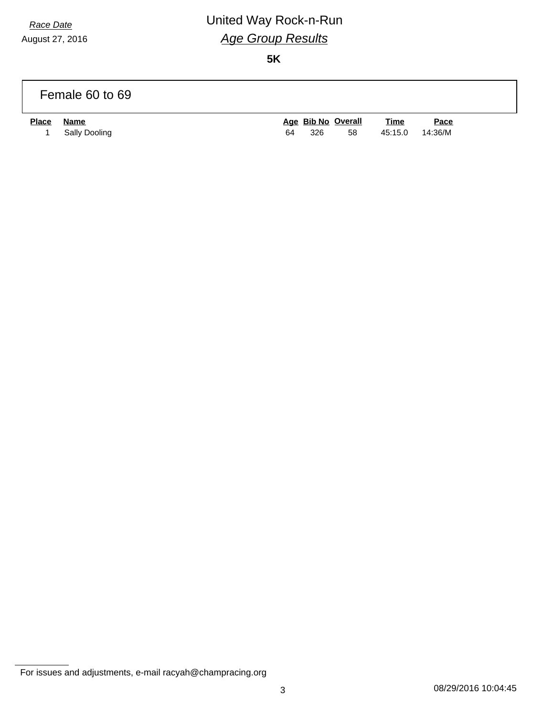August 27, 2016

# *Race Date* United Way Rock-n-Run *Age Group Results*

**5K**

|              | Female 60 to 69              |    |     |                          |                        |                        |  |
|--------------|------------------------------|----|-----|--------------------------|------------------------|------------------------|--|
| <b>Place</b> | <b>Name</b><br>Sally Dooling | 64 | 326 | Age Bib No Overall<br>58 | <u>Time</u><br>45:15.0 | <u>Pace</u><br>14:36/M |  |

For issues and adjustments, e-mail racyah@champracing.org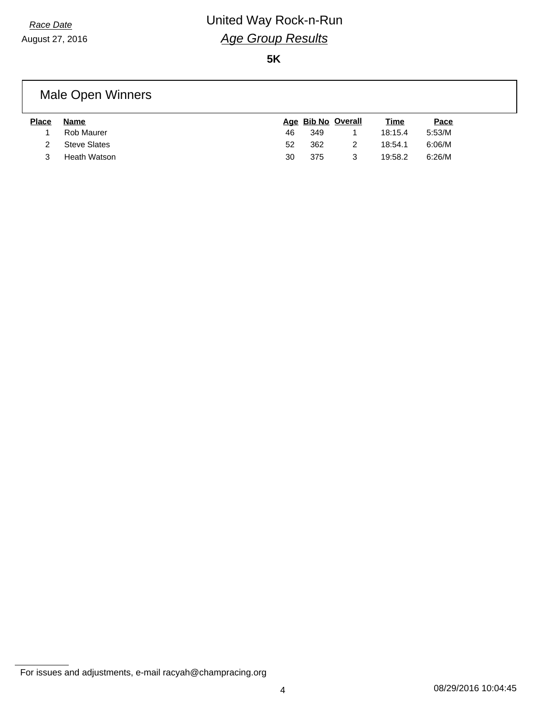**5K**

#### Male Open Winners

| <b>Place</b> | Name         |    |     | Age Bib No Overall | <u>Time</u> | Pace   |
|--------------|--------------|----|-----|--------------------|-------------|--------|
|              | Rob Maurer   | 46 | 349 |                    | 18:15.4     | 5:53/M |
|              | Steve Slates | 52 | 362 |                    | 18:54.1     | 6:06/M |
|              | Heath Watson | 30 | 375 |                    | 19:58.2     | 6:26/M |

For issues and adjustments, e-mail racyah@champracing.org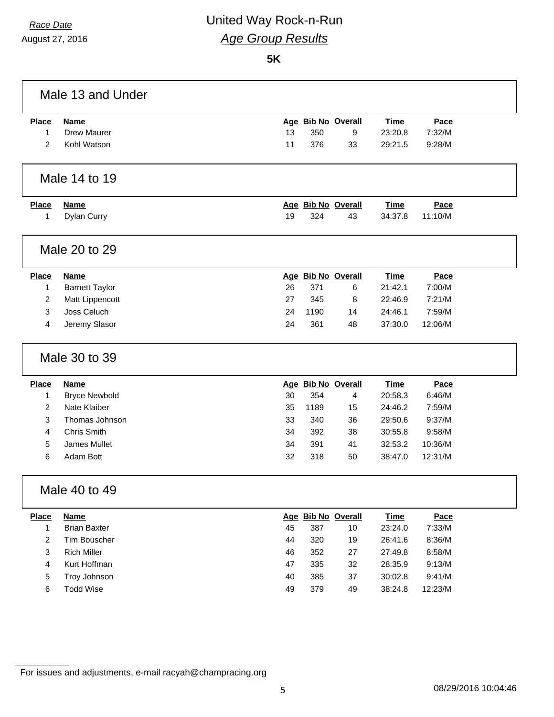August 27, 2016

### *Race Date* United Way Rock-n-Run *Age Group Results*

**5K**

| Male 13 and Under |                       |    |      |                    |             |         |  |
|-------------------|-----------------------|----|------|--------------------|-------------|---------|--|
| <b>Place</b>      | <b>Name</b>           |    |      | Age Bib No Overall | <b>Time</b> | Pace    |  |
| 1                 | <b>Drew Maurer</b>    | 13 | 350  | 9                  | 23:20.8     | 7:32/M  |  |
| $\overline{2}$    | Kohl Watson           | 11 | 376  | 33                 | 29:21.5     | 9:28/M  |  |
|                   |                       |    |      |                    |             |         |  |
|                   | Male 14 to 19         |    |      |                    |             |         |  |
| <b>Place</b>      | <b>Name</b>           |    |      | Age Bib No Overall | Time        | Pace    |  |
| 1                 | Dylan Curry           | 19 | 324  | 43                 | 34:37.8     | 11:10/M |  |
|                   |                       |    |      |                    |             |         |  |
|                   | Male 20 to 29         |    |      |                    |             |         |  |
| <b>Place</b>      | Name                  |    |      | Age Bib No Overall | <b>Time</b> | Pace    |  |
| 1                 | <b>Barnett Taylor</b> | 26 | 371  | 6                  | 21:42.1     | 7:00/M  |  |
| $\overline{2}$    | Matt Lippencott       | 27 | 345  | 8                  | 22:46.9     | 7:21/M  |  |
| 3                 | Joss Celuch           | 24 | 1190 | 14                 | 24:46.1     | 7:59/M  |  |
| 4                 | Jeremy Slasor         | 24 | 361  | 48                 | 37:30.0     | 12:06/M |  |
|                   | Male 30 to 39         |    |      |                    |             |         |  |
| <b>Place</b>      | <b>Name</b>           |    |      | Age Bib No Overall | <b>Time</b> | Pace    |  |
| 1                 | <b>Bryce Newbold</b>  | 30 | 354  | 4                  | 20:58.3     | 6:46/M  |  |
| $\overline{2}$    | Nate Klaiber          | 35 | 1189 | 15                 | 24:46.2     | 7:59/M  |  |
| 3                 | Thomas Johnson        | 33 | 340  | 36                 | 29:50.6     | 9:37/M  |  |
| $\overline{4}$    | <b>Chris Smith</b>    | 34 | 392  | 38                 | 30:55.8     | 9:58/M  |  |
| 5                 | James Mullet          | 34 | 391  | 41                 | 32:53.2     | 10:36/M |  |
| 6                 | Adam Bott             | 32 | 318  | 50                 | 38:47.0     | 12:31/M |  |
|                   | Male 40 to 49         |    |      |                    |             |         |  |
| <b>Place</b>      | <b>Name</b>           |    |      | Age Bib No Overall | <b>Time</b> | Pace    |  |
| 1                 | <b>Brian Baxter</b>   | 45 | 387  | 10                 | 23:24.0     | 7:33/M  |  |
| $\overline{2}$    | Tim Bouscher          | 44 | 320  | 19                 | 26:41.6     | 8:36/M  |  |
| $\mathbf{3}$      | <b>Rich Miller</b>    | 46 | 352  | 27                 | 27:49.8     | 8:58/M  |  |
| 4                 | Kurt Hoffman          | 47 | 335  | 32                 | 28:35.9     | 9:13/M  |  |
| $\sqrt{5}$        | Troy Johnson          | 40 | 385  | 37                 | 30:02.8     | 9:41/M  |  |
| $\,6\,$           | <b>Todd Wise</b>      | 49 | 379  | 49                 | 38:24.8     | 12:23/M |  |